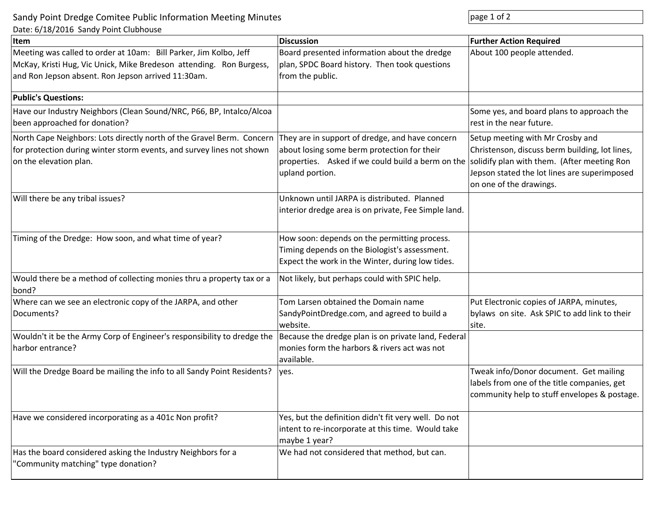Sandy Point Dredge Comitee Public Information Meeting Minutes **page 1** of 2

Date: 6/18/2016 Sandy Point Clubhouse

| batt. b/ 10/2010 Sanay I Olitt Clabiloasc<br>lltem                                                                                                                                             | <b>Discussion</b>                                                                                                                                                      | <b>Further Action Required</b>                                                                                                                                                                               |
|------------------------------------------------------------------------------------------------------------------------------------------------------------------------------------------------|------------------------------------------------------------------------------------------------------------------------------------------------------------------------|--------------------------------------------------------------------------------------------------------------------------------------------------------------------------------------------------------------|
| Meeting was called to order at 10am: Bill Parker, Jim Kolbo, Jeff<br>McKay, Kristi Hug, Vic Unick, Mike Bredeson attending. Ron Burgess,<br>and Ron Jepson absent. Ron Jepson arrived 11:30am. | Board presented information about the dredge<br>plan, SPDC Board history. Then took questions<br>from the public.                                                      | About 100 people attended.                                                                                                                                                                                   |
| <b>Public's Questions:</b>                                                                                                                                                                     |                                                                                                                                                                        |                                                                                                                                                                                                              |
| Have our Industry Neighbors (Clean Sound/NRC, P66, BP, Intalco/Alcoa<br>been approached for donation?                                                                                          |                                                                                                                                                                        | Some yes, and board plans to approach the<br>rest in the near future.                                                                                                                                        |
| North Cape Neighbors: Lots directly north of the Gravel Berm. Concern<br>for protection during winter storm events, and survey lines not shown<br>on the elevation plan.                       | They are in support of dredge, and have concern<br>about losing some berm protection for their<br>properties. Asked if we could build a berm on the<br>upland portion. | Setup meeting with Mr Crosby and<br>Christenson, discuss berm building, lot lines,<br>solidify plan with them. (After meeting Ron<br>Jepson stated the lot lines are superimposed<br>on one of the drawings. |
| Will there be any tribal issues?                                                                                                                                                               | Unknown until JARPA is distributed. Planned<br>interior dredge area is on private, Fee Simple land.                                                                    |                                                                                                                                                                                                              |
| Timing of the Dredge: How soon, and what time of year?                                                                                                                                         | How soon: depends on the permitting process.<br>Timing depends on the Biologist's assessment.<br>Expect the work in the Winter, during low tides.                      |                                                                                                                                                                                                              |
| Would there be a method of collecting monies thru a property tax or a<br>bond?                                                                                                                 | Not likely, but perhaps could with SPIC help.                                                                                                                          |                                                                                                                                                                                                              |
| Where can we see an electronic copy of the JARPA, and other<br>Documents?                                                                                                                      | Tom Larsen obtained the Domain name<br>SandyPointDredge.com, and agreed to build a<br>website.                                                                         | Put Electronic copies of JARPA, minutes,<br>bylaws on site. Ask SPIC to add link to their<br>site.                                                                                                           |
| Wouldn't it be the Army Corp of Engineer's responsibility to dredge the<br>harbor entrance?                                                                                                    | Because the dredge plan is on private land, Federal<br>monies form the harbors & rivers act was not<br>available.                                                      |                                                                                                                                                                                                              |
| Will the Dredge Board be mailing the info to all Sandy Point Residents?                                                                                                                        | yes.                                                                                                                                                                   | Tweak info/Donor document. Get mailing<br>labels from one of the title companies, get<br>community help to stuff envelopes & postage.                                                                        |
| Have we considered incorporating as a 401c Non profit?                                                                                                                                         | Yes, but the definition didn't fit very well. Do not<br>intent to re-incorporate at this time. Would take<br>maybe 1 year?                                             |                                                                                                                                                                                                              |
| Has the board considered asking the Industry Neighbors for a<br>"Community matching" type donation?                                                                                            | We had not considered that method, but can.                                                                                                                            |                                                                                                                                                                                                              |